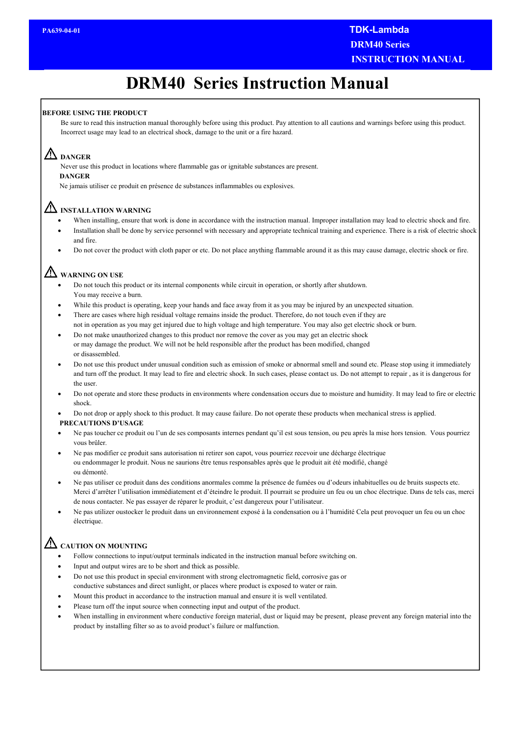# **DRM40 Series Instruction Manual**

#### **BEFORE USING THE PRODUCT**

nan<br><sup>.</sup>lec Be sure to read this instruction manual thoroughly before using this product. Pay attention to all cautions and warnings before using this product. Incorrect usage may lead to an electrical shock, damage to the unit or a fire hazard.

#### **DANGER**

Never use this product in locations where flammable gas or ignitable substances are present.

#### **DANGER**

Ne jamais utiliser ce produit en présence de substances inflammables ou explosives.

## **INSTALLATION WARNING**

- When installing, ensure that work is done in accordance with the instruction manual. Improper installation may lead to electric shock and fire.
- Installation shall be done by service personnel with necessary and appropriate technical training and experience. There is a risk of electric shock and fire.
- Do not cover the product with cloth paper or etc. Do not place anything flammable around it as this may cause damage, electric shock or fire.

## **WARNING ON USE**

- Do not touch this product or its internal components while circuit in operation, or shortly after shutdown. You may receive a burn.
- While this product is operating, keep your hands and face away from it as you may be injured by an unexpected situation.
- There are cases where high residual voltage remains inside the product. Therefore, do not touch even if they are not in operation as you may get injured due to high voltage and high temperature. You may also get electric shock or burn.
- Do not make unauthorized changes to this product nor remove the cover as you may get an electric shock or may damage the product. We will not be held responsible after the product has been modified, changed or disassembled.
- Do not use this product under unusual condition such as emission of smoke or abnormal smell and sound etc. Please stop using it immediately and turn off the product. It may lead to fire and electric shock. In such cases, please contact us. Do not attempt to repair , as it is dangerous for the user.
- Do not operate and store these products in environments where condensation occurs due to moisture and humidity. It may lead to fire or electric shock.
- Do not drop or apply shock to this product. It may cause failure. Do not operate these products when mechanical stress is applied.

#### **PRECAUTIONS D'USAGE**

- Ne pas toucher ce produit ou l'un de ses composants internes pendant qu'il est sous tension, ou peu après la mise hors tension. Vous pourriez vous brûler.
- Ne pas modifier ce produit sans autorisation ni retirer son capot, vous pourriez recevoir une décharge électrique ou endommager le produit. Nous ne saurions être tenus responsables après que le produit ait été modifié, changé ou démonté.
- Ne pas utiliser ce produit dans des conditions anormales comme la présence de fumées ou d'odeurs inhabituelles ou de bruits suspects etc. Merci d'arrêter l'utilisation immédiatement et d'éteindre le produit. Il pourrait se produire un feu ou un choc électrique. Dans de tels cas, merci de nous contacter. Ne pas essayer de réparer le produit, c'est dangereux pour l'utilisateur.
- Ne pas utilizer oustocker le produit dans un environnement exposé à la condensation ou à l'humidité Cela peut provoquer un feu ou un choc électrique.

## **CAUTION ON MOUNTING**

- Follow connections to input/output terminals indicated in the instruction manual before switching on.
- Input and output wires are to be short and thick as possible.
- Do not use this product in special environment with strong electromagnetic field, corrosive gas or
- conductive substances and direct sunlight, or places where product is exposed to water or rain.
- Mount this product in accordance to the instruction manual and ensure it is well ventilated.
- Please turn off the input source when connecting input and output of the product.
- When installing in environment where conductive foreign material, dust or liquid may be present, please prevent any foreign material into the product by installing filter so as to avoid product's failure or malfunction.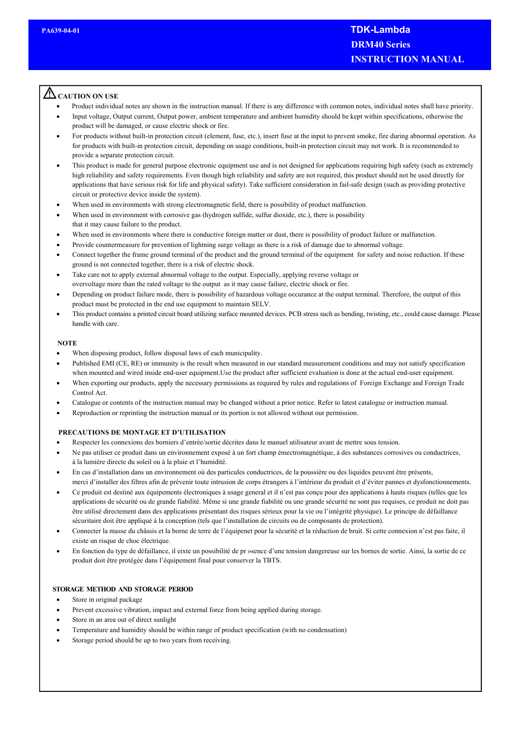## **CAUTION ON USE**

- Product individual notes are shown in the instruction manual. If there is any difference with common notes, individual notes shall have priority.
- Input voltage, Output current, Output power, ambient temperature and ambient humidity should be kept within specifications, otherwise the product will be damaged, or cause electric shock or fire.
- For products without built-in protection circuit (element, fuse, etc.), insert fuse at the input to prevent smoke, fire during abnormal operation. As for products with built-in protection circuit, depending on usage conditions, built-in protection circuit may not work. It is recommended to provide a separate protection circuit.
- This product is made for general purpose electronic equipment use and is not designed for applications requiring high safety (such as extremely high reliability and safety requirements. Even though high reliability and safety are not required, this product should not be used directly for applications that have serious risk for life and physical safety). Take sufficient consideration in fail-safe design (such as providing protective circuit or protective device inside the system).
- When used in environments with strong electromagnetic field, there is possibility of product malfunction.
- When used in environment with corrosive gas (hydrogen sulfide, sulfur dioxide, etc.), there is possibility that it may cause failure to the product.
- When used in environments where there is conductive foreign matter or dust, there is possibility of product failure or malfunction.
- Provide countermeasure for prevention of lightning surge voltage as there is a risk of damage due to abnormal voltage.
- Connect together the frame ground terminal of the product and the ground terminal of the equipment for safety and noise reduction. If these ground is not connected together, there is a risk of electric shock.
- Take care not to apply external abnormal voltage to the output. Especially, applying reverse voltage or overvoltage more than the rated voltage to the output as it may cause failure, electric shock or fire.
- Depending on product failure mode, there is possibility of hazardous voltage occurance at the output terminal. Therefore, the output of this product must be protected in the end use equipment to maintain SELV.
- This product contains a printed circuit board utilizing surface mounted devices. PCB stress such as bending, twisting, etc., could cause damage. Please handle with care.

#### **NOTE**

- When disposing product, follow disposal laws of each municipality.
- Published EMI (CE, RE) or immunity is the result when measured in our standard measurement conditions and may not satisfy specification when mounted and wired inside end-user equipment.Use the product after sufficient evaluation is done at the actual end-user equipment.
- When exporting our products, apply the necessary permissions as required by rules and regulations of Foreign Exchange and Foreign Trade Control Act.
- Catalogue or contents of the instruction manual may be changed without a prior notice. Refer to latest catalogue or instruction manual.
- Reproduction or reprinting the instruction manual or its portion is not allowed without our permission.

#### **PRECAUTIONS DE MONTAGE ET D'UTILISATION**

- Respecter les connexions des borniers d'entrée/sortie décrites dans le manuel utilisateur avant de mettre sous tension.
- Ne pas utiliser ce produit dans un environnement exposé à un fort champ émectromagnétique, à des substances corrosives ou conductrices, à la lumière directe du soleil ou à la pluie et l'humidité.
- En cas d'installation dans un environnement où des particules conductrices, de la poussière ou des liquides peuvent être présents, merci d'installer des filtres afin de prévenir toute intrusion de corps étrangers à l'intérieur du produit et d'éviter pannes et dysfonctionnements.
- Ce produit est destiné aux équipements électroniques à usage general et il n'est pas conçu pour des applications à hauts risques (telles que les applications de sécurité ou de grande fiabilité. Même si une grande fiabilité ou une grande sécurité ne sont pas requises, ce produit ne doit pas être utilisé directement dans des applications présentant des risques sérieux pour la vie ou l'intégrité physique). Le principe de défaillance sécuritaire doit être appliqué à la conception (tels que l'installation de circuits ou de composants de protection).
- Connecter la masse du châssis et la borne de terre de l'équipenet pour la sécurité et la réduction de bruit. Si cette connexion n'est pas faite, il existe un risque de choc électrique.
- En fonction du type de défaillance, il eixte un possibilité de pr »sence d'une tension dangereuse sur les bornes de sortie. Ainsi, la sortie de ce produit doit être protégée dans l'équipement final pour conserver la TBTS.

#### **STORAGE METHOD AND STORAGE PERIOD**

- Store in original package
- Prevent excessive vibration, impact and external force from being applied during storage.
- Store in an area out of direct sunlight
- Temperature and humidity should be within range of product specification (with no condensation)
- Storage period should be up to two years from receiving.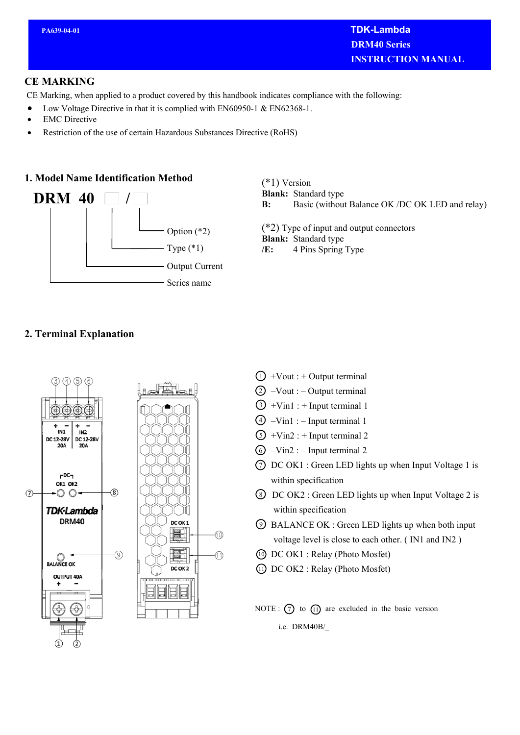### **CE MARKING**

CE Marking, when applied to a product covered by this handbook indicates compliance with the following:

- Low Voltage Directive in that it is complied with EN60950-1 & EN62368-1.
- EMC Directive
- Restriction of the use of certain Hazardous Substances Directive (RoHS)

## **1. Model Name Identification Method**



(\*1) Version

**Blank:** Standard type

**B:** Basic (without Balance OK /DC OK LED and relay)

(\*2) Type of input and output connectors **Blank:** Standard type **/E:** 4 Pins Spring Type

## **2. Terminal Explanation**



- $\bigcirc$  +Vout : + Output terminal
- $(2)$  –Vout : Output terminal
- $(3) +$ Vin1 : + Input terminal 1
- $(4)$  –Vin1 : Input terminal 1
- $(5) + \text{Vin2}$ : + Input terminal 2
- $\bigcirc$  –Vin2 : Input terminal 2
- $\circled{7}$  DC OK1 : Green LED lights up when Input Voltage 1 is within specification
- 8) DC OK2 : Green LED lights up when Input Voltage 2 is within specification
- BALANCE OK : Green LED lights up when both input 9 voltage level is close to each other. ( IN1 and IN2 )
- DC OK1 : Relay (Photo Mosfet) 10
- DC OK2 : Relay (Photo Mosfet) 11
- NOTE :  $(7)$  to  $(1)$  are excluded in the basic version i.e. DRM40B/\_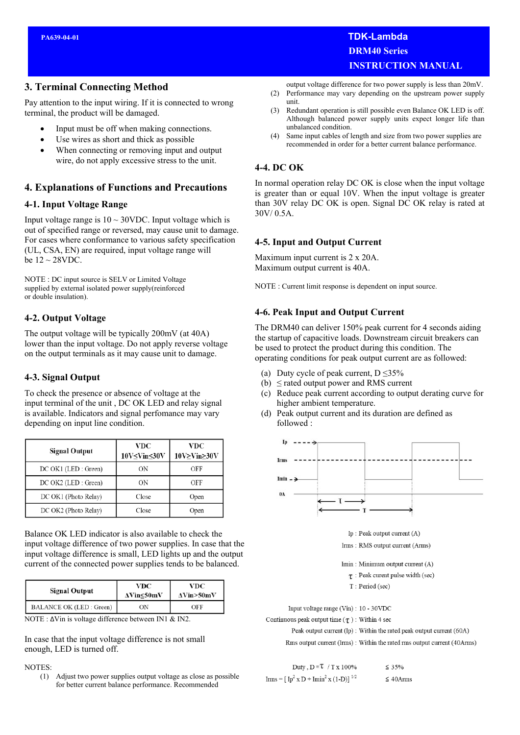#### **3. Terminal Connecting Method**

Pay attention to the input wiring. If it is connected to wrong terminal, the product will be damaged.

- Input must be off when making connections.
- Use wires as short and thick as possible
- When connecting or removing input and output wire, do not apply excessive stress to the unit.

#### **4. Explanations of Functions and Precautions**

#### **4-1. Input Voltage Range**

Input voltage range is  $10 \sim 30$ VDC. Input voltage which is out of specified range or reversed, may cause unit to damage. For cases where conformance to various safety specification (UL, CSA, EN) are required, input voltage range will be  $12 \sim 28$ VDC.

NOTE : DC input source is SELV or Limited Voltage supplied by external isolated power supply(reinforced or double insulation).

#### **4-2. Output Voltage**

The output voltage will be typically 200mV (at 40A) lower than the input voltage. Do not apply reverse voltage on the output terminals as it may cause unit to damage.

#### **4-3. Signal Output**

To check the presence or absence of voltage at the input terminal of the unit , DC OK LED and relay signal is available. Indicators and signal perfomance may vary depending on input line condition.

| <b>Signal Output</b> | VDC<br>10V <vin<30v< th=""><th>VDC<br/><math>10V \geq V \text{in} \geq 30V</math></th></vin<30v<> | VDC<br>$10V \geq V \text{in} \geq 30V$ |
|----------------------|---------------------------------------------------------------------------------------------------|----------------------------------------|
| DC OK1 (LED : Green) | ΟN                                                                                                | OFF                                    |
| DC OK2 (LED : Green) | ΟN                                                                                                | OFF                                    |
| DC OK1 (Photo Relay) | Close                                                                                             | Open                                   |
| DC OK2 (Photo Relay) | Close                                                                                             | Open                                   |

Balance OK LED indicator is also available to check the input voltage difference of two power supplies. In case that the input voltage difference is small, LED lights up and the output current of the connected power supplies tends to be balanced.

| <b>Signal Output</b>           | VDC<br>$\Delta$ Vin $\leq$ 50mV | VDC<br>AVin>50mV |
|--------------------------------|---------------------------------|------------------|
| <b>BALANCE OK (LED: Green)</b> | ΟN                              | OFF              |

NOTE : ΔVin is voltage difference between IN1 & IN2.

In case that the input voltage difference is not small enough, LED is turned off.

#### NOTES:

(1) Adjust two power supplies output voltage as close as possible for better current balance performance. Recommended

 **PA639-04-01 TDK-Lambda DRM40 Series INSTRUCTION MANUAL** 

output voltage difference for two power supply is less than 20mV.

- (2) Performance may vary depending on the upstream power supply unit.
- (3) Redundant operation is still possible even Balance OK LED is off. Although balanced power supply units expect longer life than unbalanced condition.
- (4) Same input cables of length and size from two power supplies are recommended in order for a better current balance performance.

#### **4-4. DC OK**

In normal operation relay DC OK is close when the input voltage is greater than or equal 10V. When the input voltage is greater than 30V relay DC OK is open. Signal DC OK relay is rated at 30V/ 0.5A.

#### **4-5. Input and Output Current**

Maximum input current is 2 x 20A. Maximum output current is 40A.

NOTE : Current limit response is dependent on input source.

#### **4-6. Peak Input and Output Current**

The DRM40 can deliver 150% peak current for 4 seconds aiding the startup of capacitive loads. Downstream circuit breakers can be used to protect the product during this condition. The operating conditions for peak output current are as followed:

- (a) Duty cycle of peak current,  $D \leq 35\%$
- (b)  $\leq$  rated output power and RMS current
- (c) Reduce peak current according to output derating curve for higher ambient temperature.
- (d) Peak output current and its duration are defined as followed :



Input voltage range (Vin) : 10 - 30VDC

Continuous peak output time ( $\tau$ ) : Within 4 sec

Peak output current (Ip) : Within the rated peak output current (60A) Rms output current (Irms): Within the rated rms output current (40Arms)

| Duty, $D = \tau / T x 100\%$                                               | $\leq 35\%$    |
|----------------------------------------------------------------------------|----------------|
| Irms = $[$ Ip <sup>2</sup> x D + Imin <sup>2</sup> x (1-D)] <sup>1/2</sup> | $\leq 40$ Arms |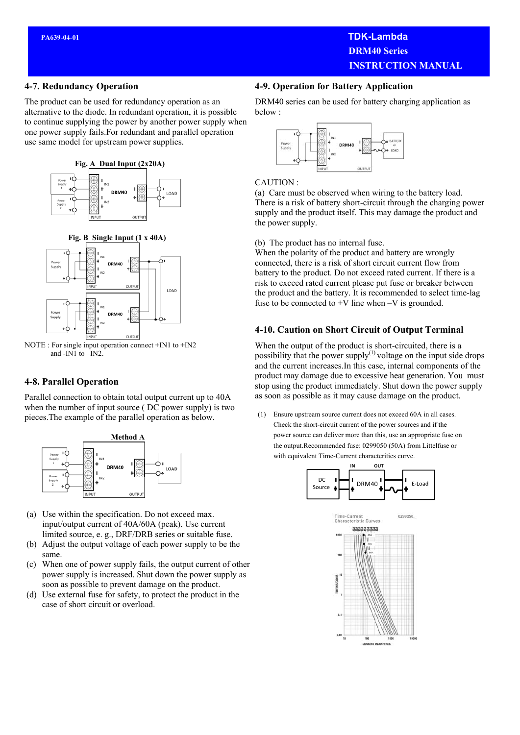## **PA639-04-01 TDK-Lambda DRM40 Series INSTRUCTION MANUAL**

#### **4-7. Redundancy Operation**

The product can be used for redundancy operation as an alternative to the diode. In redundant operation, it is possible to continue supplying the power by another power supply when one power supply fails.For redundant and parallel operation use same model for upstream power supplies.



 **Fig. B Single Input (1 x 40A)**



NOTE : For single input operation connect +IN1 to +IN2 and -IN1 to –IN2.

#### **4-8. Parallel Operation**

Parallel connection to obtain total output current up to 40A when the number of input source ( DC power supply) is two pieces.The example of the parallel operation as below.



- (a) Use within the specification. Do not exceed max. input/output current of 40A/60A (peak). Use current limited source, e. g., DRF/DRB series or suitable fuse.
- (b) Adjust the output voltage of each power supply to be the same.
- (c) When one of power supply fails, the output current of other power supply is increased. Shut down the power supply as soon as possible to prevent damage on the product.
- (d) Use external fuse for safety, to protect the product in the case of short circuit or overload.

#### **4-9. Operation for Battery Application**

DRM40 series can be used for battery charging application as below :



#### CAUTION :

(a) Care must be observed when wiring to the battery load. There is a risk of battery short-circuit through the charging power supply and the product itself. This may damage the product and the power supply.

(b) The product has no internal fuse.

When the polarity of the product and battery are wrongly connected, there is a risk of short circuit current flow from battery to the product. Do not exceed rated current. If there is a risk to exceed rated current please put fuse or breaker between the product and the battery. It is recommended to select time-lag fuse to be connected to  $+V$  line when  $-V$  is grounded.

#### **4-10. Caution on Short Circuit of Output Terminal**

When the output of the product is short-circuited, there is a possibility that the power supply $(1)$  voltage on the input side drops and the current increases.In this case, internal components of the product may damage due to excessive heat generation. You must stop using the product immediately. Shut down the power supply as soon as possible as it may cause damage on the product.

(1) Ensure upstream source current does not exceed 60A in all cases. Check the short-circuit current of the power sources and if the power source can deliver more than this, use an appropriate fuse on the output.Recommended fuse: 0299050 (50A) from Littelfuse or with equivalent Time-Current characteritics curve.

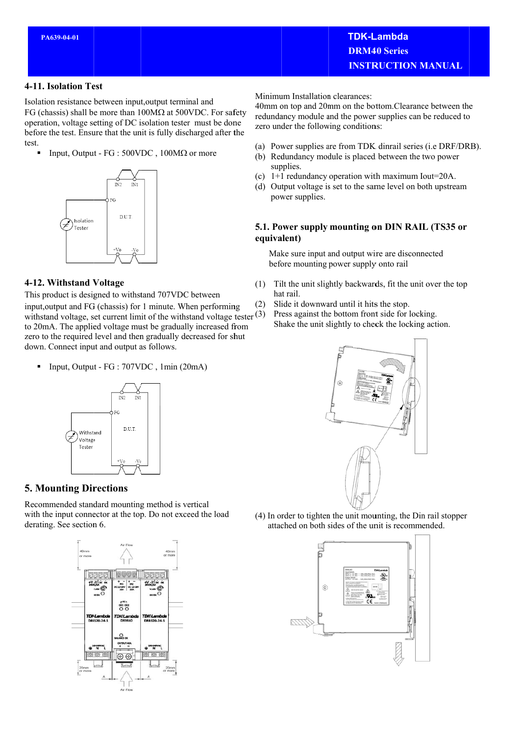#### 4-11. Isolation Test

Isolation resistance between input, output terminal and

FG (chassis) shall be more than  $100M\Omega$  at 500VDC. For safety operation, voltage setting of DC isolation tester must be done before the test. Ensure that the unit is fully discharged after the test.

Input, Output - FG :  $500VDC$ ,  $100M\Omega$  or more



#### 4-12. Withstand Voltage

This product is designed to withstand 707VDC between

input, output and FG (chassis) for 1 minute. When performing withstand voltage, set current limit of the withstand voltage tester  $(3)$ to 20mA. The applied voltage must be gradually increased from zero to the required level and then gradually decreased for shut down. Connect input and output as follows.

Input, Output - FG : 707VDC, 1min (20mA)



## **5. Mounting Directions**

Recommended standard mounting method is vertical with the input connector at the top. Do not exceed the load derating. See section 6.



Minimum Installation clearances:

40mm on top and 20mm on the bottom.Clearance between the redundancy module and the power supplies can be reduced to zero under the following conditions:

- (a) Power supplies are from TDK dinrail series (i.e DRF/DRB).
- (b) Redundancy module is placed between the two power supplies.
- (c)  $1+1$  redundancy operation with maximum Iout=20A.
- (d) Output voltage is set to the same level on both upstream power supplies.

#### 5.1. Power supply mounting on DIN RAIL (TS35 or equivalent)

Make sure input and output wire are disconnected before mounting power supply onto rail

- Tilt the unit slightly backwards, fit the unit over the top  $(1)$ hat rail.
- Slide it downward until it hits the stop.  $(2)$ 
	- Press against the bottom front side for locking. Shake the unit slightly to check the locking action.



(4) In order to tighten the unit mounting, the Din rail stopper attached on both sides of the unit is recommended.

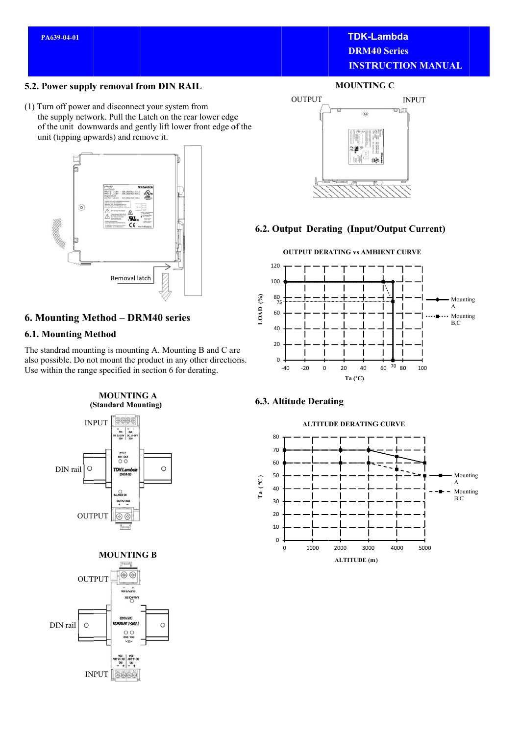## **TDK-Lambda DRM40 Series INSTRUCTION MANUAL**

#### 5.2. Power supply removal from DIN RAIL

(1) Turn off power and disconnect your system from the supply network. Pull the Latch on the rear lower edge of the unit downwards and gently lift lower front edge of the unit (tipping upwards) and remove it.



## 6. Mounting Method - DRM40 series

#### **6.1. Mounting Method**

The standrad mounting is mounting A. Mounting B and C are also possible. Do not mount the product in any other directions. Use within the range specified in section 6 for derating.

**MOUNTING A** (Standard Mounting)





#### **MOUNTING C**



#### 6.2. Output Derating (Input/Output Current)

#### **OUTPUT DERATING vs AMBIENT CURVE**  $120$ 100 80  $\mathcal{E}(\mathcal{E})$ Mounting 7 LOAD<sub>(</sub>  $\overline{A}$ 60 Mounting  $B, C$  $40$  $20$  $\mathbf 0$  $-20$  $\overline{0}$  $\overline{20}$ 60  $70_{80}$  $-40$ 40  $100$ Ta (°C)

#### **6.3. Altitude Derating**